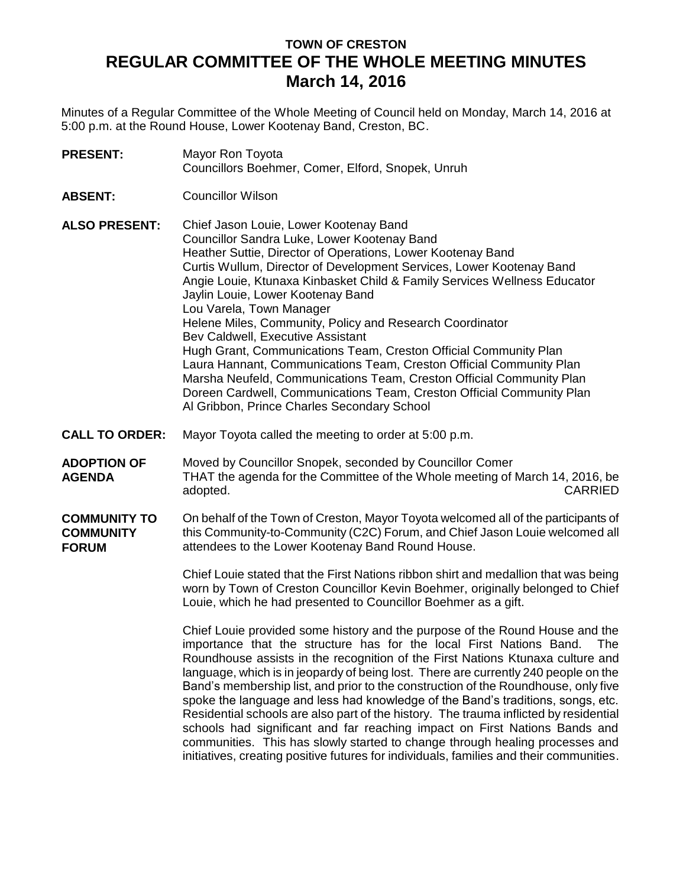## **TOWN OF CRESTON REGULAR COMMITTEE OF THE WHOLE MEETING MINUTES March 14, 2016**

Minutes of a Regular Committee of the Whole Meeting of Council held on Monday, March 14, 2016 at 5:00 p.m. at the Round House, Lower Kootenay Band, Creston, BC.

- **PRESENT:** Mayor Ron Toyota Councillors Boehmer, Comer, Elford, Snopek, Unruh
- **ABSENT:** Councillor Wilson

**ALSO PRESENT:** Chief Jason Louie, Lower Kootenay Band Councillor Sandra Luke, Lower Kootenay Band Heather Suttie, Director of Operations, Lower Kootenay Band Curtis Wullum, Director of Development Services, Lower Kootenay Band Angie Louie, Ktunaxa Kinbasket Child & Family Services Wellness Educator Jaylin Louie, Lower Kootenay Band Lou Varela, Town Manager Helene Miles, Community, Policy and Research Coordinator Bev Caldwell, Executive Assistant Hugh Grant, Communications Team, Creston Official Community Plan Laura Hannant, Communications Team, Creston Official Community Plan Marsha Neufeld, Communications Team, Creston Official Community Plan Doreen Cardwell, Communications Team, Creston Official Community Plan Al Gribbon, Prince Charles Secondary School

- **CALL TO ORDER:** Mayor Toyota called the meeting to order at 5:00 p.m.
- **ADOPTION OF AGENDA** Moved by Councillor Snopek, seconded by Councillor Comer THAT the agenda for the Committee of the Whole meeting of March 14, 2016, be adopted. CARRIED
- **COMMUNITY TO COMMUNITY FORUM** On behalf of the Town of Creston, Mayor Toyota welcomed all of the participants of this Community-to-Community (C2C) Forum, and Chief Jason Louie welcomed all attendees to the Lower Kootenay Band Round House.

Chief Louie stated that the First Nations ribbon shirt and medallion that was being worn by Town of Creston Councillor Kevin Boehmer, originally belonged to Chief Louie, which he had presented to Councillor Boehmer as a gift.

Chief Louie provided some history and the purpose of the Round House and the importance that the structure has for the local First Nations Band. The Roundhouse assists in the recognition of the First Nations Ktunaxa culture and language, which is in jeopardy of being lost. There are currently 240 people on the Band's membership list, and prior to the construction of the Roundhouse, only five spoke the language and less had knowledge of the Band's traditions, songs, etc. Residential schools are also part of the history. The trauma inflicted by residential schools had significant and far reaching impact on First Nations Bands and communities. This has slowly started to change through healing processes and initiatives, creating positive futures for individuals, families and their communities.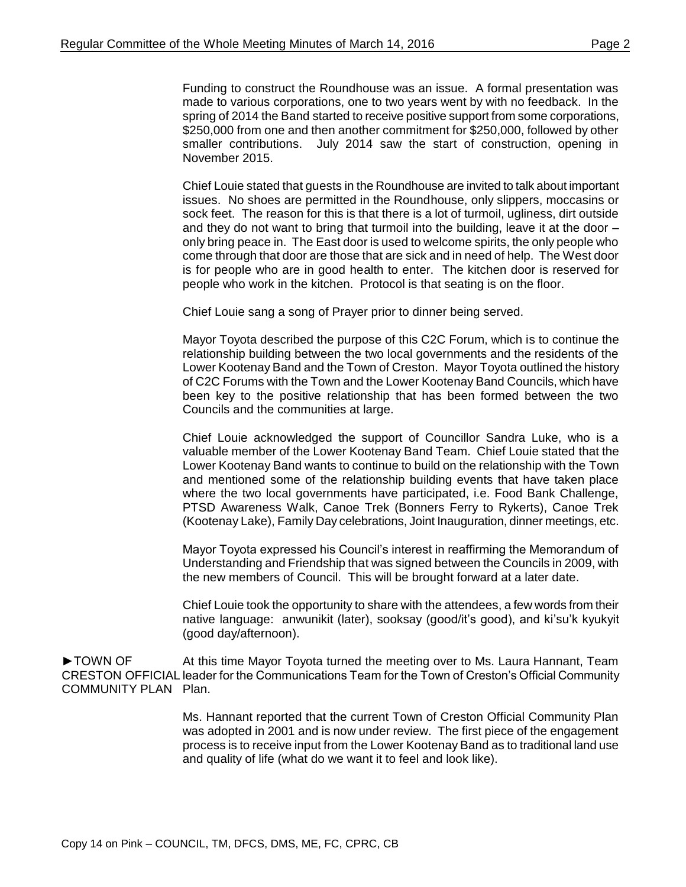Funding to construct the Roundhouse was an issue. A formal presentation was made to various corporations, one to two years went by with no feedback. In the spring of 2014 the Band started to receive positive support from some corporations, \$250,000 from one and then another commitment for \$250,000, followed by other smaller contributions. July 2014 saw the start of construction, opening in November 2015.

Chief Louie stated that guests in the Roundhouse are invited to talk about important issues. No shoes are permitted in the Roundhouse, only slippers, moccasins or sock feet. The reason for this is that there is a lot of turmoil, ugliness, dirt outside and they do not want to bring that turmoil into the building, leave it at the door – only bring peace in. The East door is used to welcome spirits, the only people who come through that door are those that are sick and in need of help. The West door is for people who are in good health to enter. The kitchen door is reserved for people who work in the kitchen. Protocol is that seating is on the floor.

Chief Louie sang a song of Prayer prior to dinner being served.

Mayor Toyota described the purpose of this C2C Forum, which is to continue the relationship building between the two local governments and the residents of the Lower Kootenay Band and the Town of Creston. Mayor Toyota outlined the history of C2C Forums with the Town and the Lower Kootenay Band Councils, which have been key to the positive relationship that has been formed between the two Councils and the communities at large.

Chief Louie acknowledged the support of Councillor Sandra Luke, who is a valuable member of the Lower Kootenay Band Team. Chief Louie stated that the Lower Kootenay Band wants to continue to build on the relationship with the Town and mentioned some of the relationship building events that have taken place where the two local governments have participated, i.e. Food Bank Challenge, PTSD Awareness Walk, Canoe Trek (Bonners Ferry to Rykerts), Canoe Trek (Kootenay Lake), Family Day celebrations, Joint Inauguration, dinner meetings, etc.

Mayor Toyota expressed his Council's interest in reaffirming the Memorandum of Understanding and Friendship that was signed between the Councils in 2009, with the new members of Council. This will be brought forward at a later date.

Chief Louie took the opportunity to share with the attendees, a few words from their native language: anwunikit (later), sooksay (good/it's good), and ki'su'k kyukyit (good day/afternoon).

►TOWN OF CRESTON OFFICIAL leader for the Communications Team for the Town of Creston's Official Community COMMUNITY PLAN Plan. At this time Mayor Toyota turned the meeting over to Ms. Laura Hannant, Team

> Ms. Hannant reported that the current Town of Creston Official Community Plan was adopted in 2001 and is now under review. The first piece of the engagement process is to receive input from the Lower Kootenay Band as to traditional land use and quality of life (what do we want it to feel and look like).